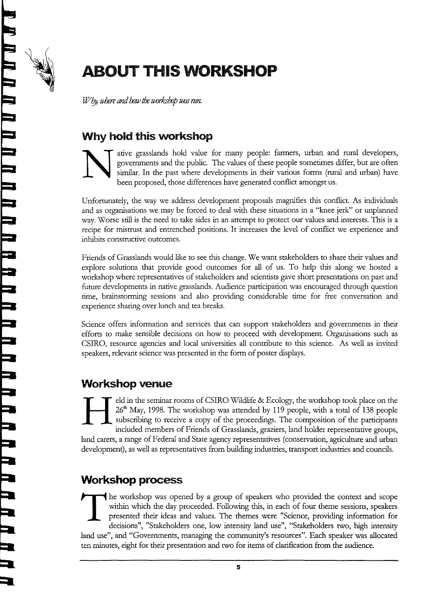

5

5

-J

-J

**i** 

;l

I

I

r<br>2

r

I

I

ir<br>J -<br>2

I

r<br>2

I

I

I

t

r

 $\equiv$ 

r

I

I

I

I

I

E

 $\blacksquare$ 

f

L

f

il.

## **ABOUT THIS WORKSHOP**

 $W$ by, where and how the workshop was run.

## Why hold this workshop

ative grasslands hold value for many people: farmers, urban and rural developers, governments and the public. The values of these people sometimes differ, but are often similar. In the past where developments in their various forms (rural and urban) have been proposed, those differences have generated conflict amongst us.

Unfortunately, the way we address development proposals magnifies this conflict. As individuals and as organisations we may be forced to deal with these situations in a "knee jerk" or unplanned way. \Worse still is the need to take sides in an attempt to protect our values and interests. This is <sup>a</sup> recipe for mistrust and entrenched positions. It increases the level of conflict we experience and inhibits constructive outcomes.

Friends of Grasslands would like to see this change. We want stakeholders to share their values and explore solutions that provide good outcomes for all of us. To help this along we hosted <sup>a</sup> workshop where representatives of stakeholders and scientists gave short presentations on past and future developments in native grasslands. Audience participation was encouraged through question time, brainstorming sessions and also providing considerable time for free conversation and experience sharing over lunch and tea breaks.

Science offers information and services that can support stakeholders and governments in their efforts to make sensible decisions on how to proceed with development. Organisations such as CSIRO, resource agencies and local universities all contribute to this science. As well as invited speakers, relevant science was presented in the form of poster displays.

## Workshop venue

eld in the seminar rooms of CSIRO Wildlife & Ecology, the workshop took place on the 26<sup>th</sup> May, 1998. The workshop was attended by 119 people, with a total of 138 people subscribing to receive a copy of the proceedings. The composition of the participants included members of Friends of Grasslands, graziers, land holder representative groups, land carers, a range of Federal and State agency representatives (conservation, agriculture and urban development), as well as representatives from building industries, transport industries and councils.

## Workshop process

he workshop was opened by a group of speakers who provided the context and scope within which the day proceeded. Following this, in each of four theme sessions, speakers presented their ideas and values. The themes were "Science, providing information for decisions", "Stakeholders one, low intensity land use", "Stakeholders two, high intensity land use", and "Governments, managing the community's resources". Each speaker was allocated ten minutes, eight for their presentation and two for items of clarification from the audience.